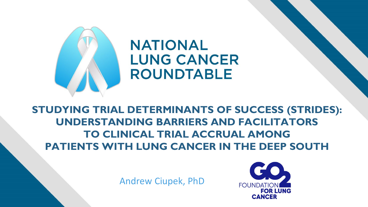

**STUDYING TRIAL DETERMINANTS OF SUCCESS (STRIDES): UNDERSTANDING BARRIERS AND FACILITATORS TO CLINICAL TRIAL ACCRUAL AMONG PATIENTS WITH LUNG CANCER IN THE DEEP SOUTH**

Andrew Ciupek, PhD

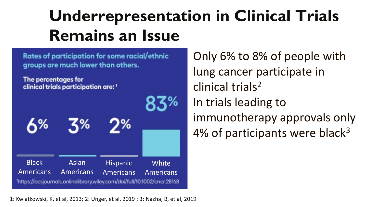## **Underrepresentation in Clinical Trials Remains an Issue**

Rates of participation for some racial/ethnic groups are much lower than others.

The percentages for clinical trials participation are: 1

3% ሐ% 7% **Black** Asian Hispanic **White** Americans Americans **Americans** Americans https://acsjournals.onlinelibrary.wiley.com/doi/full/10.1002/cncr.28168 Only 6% to 8% of people with lung cancer participate in clinical trials2 In trials leading to immunotherapy approvals only 4% of participants were black<sup>3</sup>

1: Kwiatkowski, K, et al, 2013; 2: Unger, et al, 2019 ; 3: Nazha, B, et al, 2019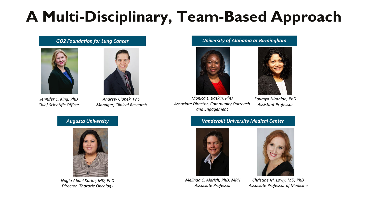### **A Multi-Disciplinary, Team-Based Approach**





*Jennifer C. King, PhD Chief Scientific Officer*

*Andrew Ciupek, PhD Manager, Clinical Research*

### *GO2 Foundation for Lung Cancer University of Alabama at Birmingham*



*Monica L. Baskin, PhD Associate Director, Community Outreach and Engagement*



*Soumya Niranjan, PhD Assistant Professor*



*Nagla Abdel Karim, MD, PhD Director, Thoracic Oncology*

### *Augusta University Vanderbilt University Medical Center*



*Melinda C. Aldrich, PhD, MPH Associate Professor*



*Christine M. Lovly, MD, PhD Associate Professor of Medicine*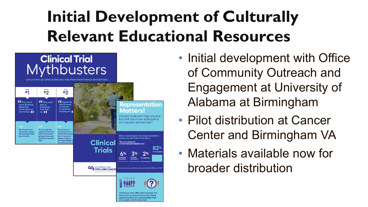## **Initial Development of Culturally Relevant Educational Resources**



- Initial development with Office of Community Outreach and Engagement at University of Alabama at Birmingham
- Pilot distribution at Cancer Center and Birmingham VA
- Materials available now for broader distribution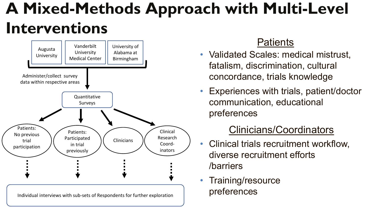## **A Mixed-Methods Approach with Multi-Level Interventions**



Individual interviews with sub-sets of Respondents for further exploration

### **Patients**

- Validated Scales: medical mistrust, fatalism, discrimination, cultural concordance, trials knowledge
- Experiences with trials, patient/doctor communication, educational preferences

### Clinicians/Coordinators

- Clinical trials recruitment workflow, diverse recruitment efforts /barriers
- Training/resource preferences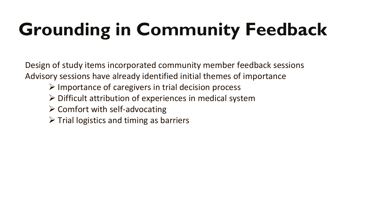# **Grounding in Community Feedback**

Design of study items incorporated community member feedback sessions Advisory sessions have already identified initial themes of importance

- $\triangleright$  Importance of caregivers in trial decision process
- $\triangleright$  Difficult attribution of experiences in medical system
- $\triangleright$  Comfort with self-advocating
- $\triangleright$  Trial logistics and timing as barriers